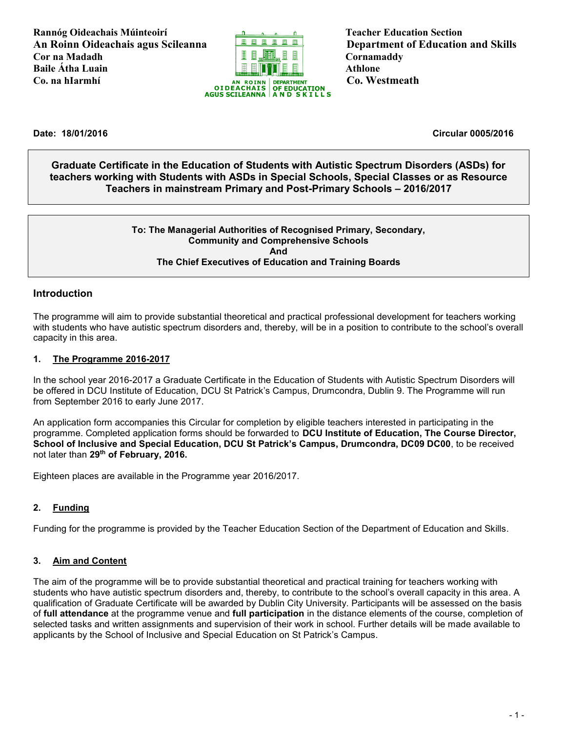**Rannóg Oideachais Múinteoirí Teacher Education Section An Roinn Oideachais agus Scileanna Department of Education and Skills Cor na Madadh Cornamaddy Baile Átha Luain Athlone** 



**Date: 18/01/2016 Circular 0005/2016**

**Graduate Certificate in the Education of Students with Autistic Spectrum Disorders (ASDs) for teachers working with Students with ASDs in Special Schools, Special Classes or as Resource Teachers in mainstream Primary and Post-Primary Schools – 2016/2017**

#### **To: The Managerial Authorities of Recognised Primary, Secondary, Community and Comprehensive Schools And The Chief Executives of Education and Training Boards**

#### **Introduction**

The programme will aim to provide substantial theoretical and practical professional development for teachers working with students who have autistic spectrum disorders and, thereby, will be in a position to contribute to the school's overall capacity in this area.

#### **1. The Programme 2016-2017**

In the school year 2016-2017 a Graduate Certificate in the Education of Students with Autistic Spectrum Disorders will be offered in DCU Institute of Education, DCU St Patrick's Campus, Drumcondra, Dublin 9. The Programme will run from September 2016 to early June 2017.

An application form accompanies this Circular for completion by eligible teachers interested in participating in the programme. Completed application forms should be forwarded to **DCU Institute of Education, The Course Director, School of Inclusive and Special Education, DCU St Patrick's Campus, Drumcondra, DC09 DC00**, to be received not later than **29th of February, 2016.**

Eighteen places are available in the Programme year 2016/2017.

#### **2. Funding**

Funding for the programme is provided by the Teacher Education Section of the Department of Education and Skills.

#### **3. Aim and Content**

The aim of the programme will be to provide substantial theoretical and practical training for teachers working with students who have autistic spectrum disorders and, thereby, to contribute to the school's overall capacity in this area. A qualification of Graduate Certificate will be awarded by Dublin City University. Participants will be assessed on the basis of **full attendance** at the programme venue and **full participation** in the distance elements of the course, completion of selected tasks and written assignments and supervision of their work in school. Further details will be made available to applicants by the School of Inclusive and Special Education on St Patrick's Campus.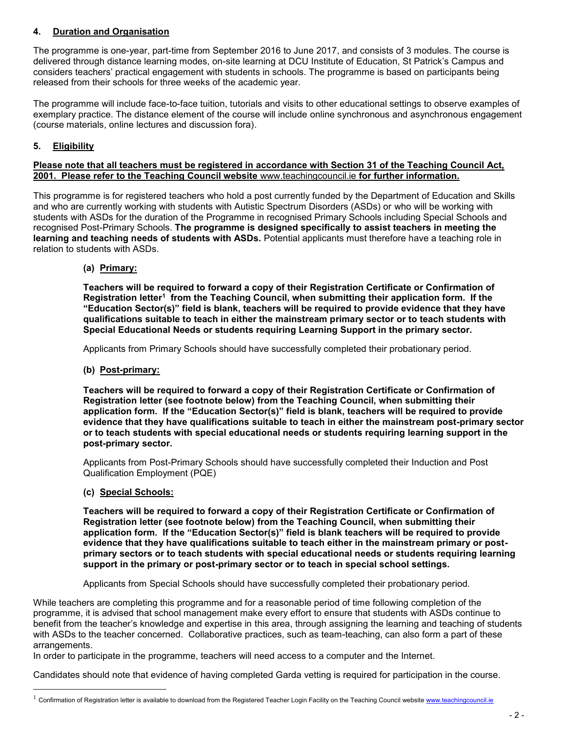#### **4. Duration and Organisation**

The programme is one-year, part-time from September 2016 to June 2017, and consists of 3 modules. The course is delivered through distance learning modes, on-site learning at DCU Institute of Education, St Patrick's Campus and considers teachers' practical engagement with students in schools. The programme is based on participants being released from their schools for three weeks of the academic year.

The programme will include face-to-face tuition, tutorials and visits to other educational settings to observe examples of exemplary practice. The distance element of the course will include online synchronous and asynchronous engagement (course materials, online lectures and discussion fora).

#### **5. Eligibility**

#### **Please note that all teachers must be registered in accordance with Section 31 of the Teaching Council Act, 2001. Please refer to the Teaching Council website** [www.teachingcouncil.ie](http://www.teachingcouncil.ie/) **for further information.**

This programme is for registered teachers who hold a post currently funded by the Department of Education and Skills and who are currently working with students with Autistic Spectrum Disorders (ASDs) or who will be working with students with ASDs for the duration of the Programme in recognised Primary Schools including Special Schools and recognised Post-Primary Schools. **The programme is designed specifically to assist teachers in meeting the learning and teaching needs of students with ASDs.** Potential applicants must therefore have a teaching role in relation to students with ASDs.

**(a) Primary:** 

**Teachers will be required to forward a copy of their Registration Certificate or Confirmation of Registration letter<sup>1</sup> from the Teaching Council, when submitting their application form. If the "Education Sector(s)" field is blank, teachers will be required to provide evidence that they have qualifications suitable to teach in either the mainstream primary sector or to teach students with Special Educational Needs or students requiring Learning Support in the primary sector.**

Applicants from Primary Schools should have successfully completed their probationary period.

**(b) Post-primary:**

**Teachers will be required to forward a copy of their Registration Certificate or Confirmation of Registration letter (see footnote below) from the Teaching Council, when submitting their application form. If the "Education Sector(s)" field is blank, teachers will be required to provide evidence that they have qualifications suitable to teach in either the mainstream post-primary sector or to teach students with special educational needs or students requiring learning support in the post-primary sector.**

Applicants from Post-Primary Schools should have successfully completed their Induction and Post Qualification Employment (PQE)

**(c) Special Schools:**

i<br>L

**Teachers will be required to forward a copy of their Registration Certificate or Confirmation of Registration letter (see footnote below) from the Teaching Council, when submitting their application form. If the "Education Sector(s)" field is blank teachers will be required to provide evidence that they have qualifications suitable to teach either in the mainstream primary or postprimary sectors or to teach students with special educational needs or students requiring learning support in the primary or post-primary sector or to teach in special school settings.**

Applicants from Special Schools should have successfully completed their probationary period.

While teachers are completing this programme and for a reasonable period of time following completion of the programme, it is advised that school management make every effort to ensure that students with ASDs continue to benefit from the teacher's knowledge and expertise in this area, through assigning the learning and teaching of students with ASDs to the teacher concerned. Collaborative practices, such as team-teaching, can also form a part of these arrangements.

In order to participate in the programme, teachers will need access to a computer and the Internet.

Candidates should note that evidence of having completed Garda vetting is required for participation in the course.

Confirmation of Registration letter is available to download from the Registered Teacher Login Facility on the Teaching Council websit[e www.teachingcouncil.ie](http://www.teachingcouncil.ie/)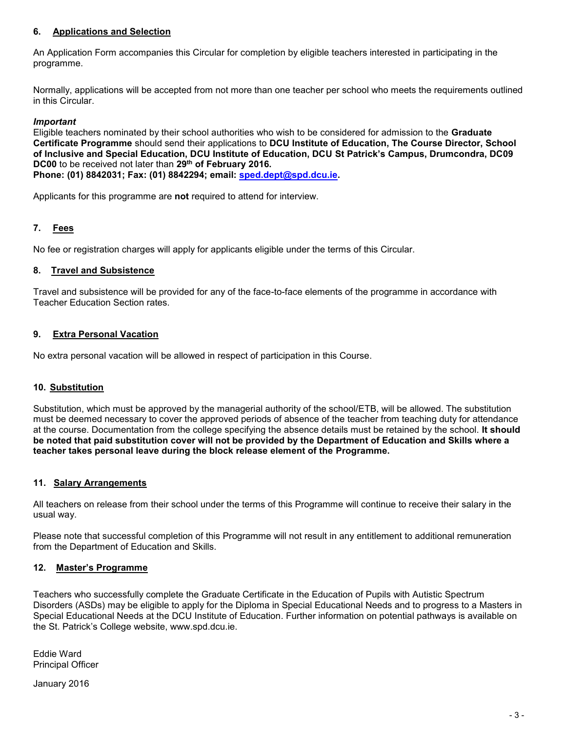#### **6. Applications and Selection**

An Application Form accompanies this Circular for completion by eligible teachers interested in participating in the programme.

Normally, applications will be accepted from not more than one teacher per school who meets the requirements outlined in this Circular.

#### *Important*

Eligible teachers nominated by their school authorities who wish to be considered for admission to the **Graduate Certificate Programme** should send their applications to **DCU Institute of Education, The Course Director, School of Inclusive and Special Education, DCU Institute of Education, DCU St Patrick's Campus, Drumcondra, DC09 DC00** to be received not later than **29th of February 2016. Phone: (01) 8842031; Fax: (01) 8842294; email: [sped.dept@spd.dcu.ie.](mailto:sped.dept@spd.dcu.ie)**

Applicants for this programme are **not** required to attend for interview.

#### **7. Fees**

No fee or registration charges will apply for applicants eligible under the terms of this Circular.

#### **8. Travel and Subsistence**

Travel and subsistence will be provided for any of the face-to-face elements of the programme in accordance with Teacher Education Section rates.

#### **9. Extra Personal Vacation**

No extra personal vacation will be allowed in respect of participation in this Course.

#### **10. Substitution**

Substitution, which must be approved by the managerial authority of the school/ETB, will be allowed. The substitution must be deemed necessary to cover the approved periods of absence of the teacher from teaching duty for attendance at the course. Documentation from the college specifying the absence details must be retained by the school. **It should be noted that paid substitution cover will not be provided by the Department of Education and Skills where a teacher takes personal leave during the block release element of the Programme.**

#### **11. Salary Arrangements**

All teachers on release from their school under the terms of this Programme will continue to receive their salary in the usual way.

Please note that successful completion of this Programme will not result in any entitlement to additional remuneration from the Department of Education and Skills.

#### **12. Master's Programme**

Teachers who successfully complete the Graduate Certificate in the Education of Pupils with Autistic Spectrum Disorders (ASDs) may be eligible to apply for the Diploma in Special Educational Needs and to progress to a Masters in Special Educational Needs at the DCU Institute of Education. Further information on potential pathways is available on the St. Patrick's College website, www.spd.dcu.ie.

Eddie Ward Principal Officer

January 2016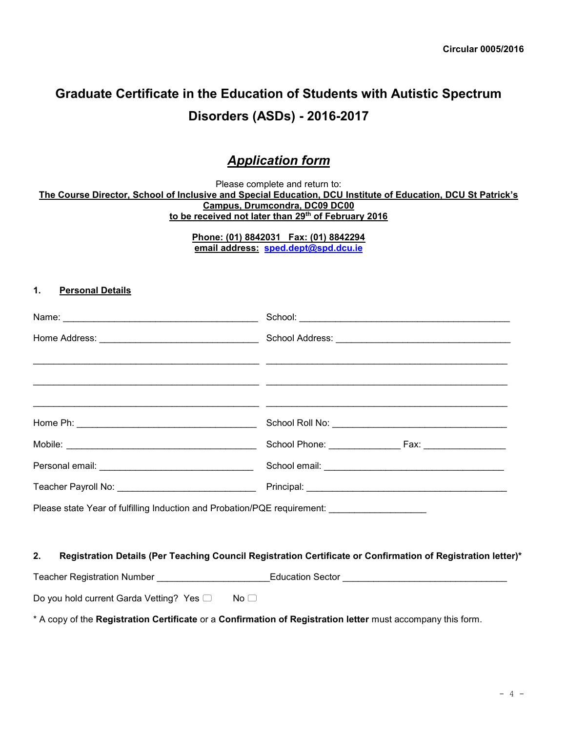# **Graduate Certificate in the Education of Students with Autistic Spectrum Disorders (ASDs) - 2016-2017**

## *Application form*

Please complete and return to: **The Course Director, School of Inclusive and Special Education, DCU Institute of Education, DCU St Patrick's Campus, Drumcondra, DC09 DC00 to be received not later than 29th of February 2016**

> **Phone: (01) 8842031 Fax: (01) 8842294 email address: [sped.dept@spd.dcu.ie](mailto:sped.dept@spd.dcu.ie)**

#### **1. Personal Details**

| Please state Year of fulfilling Induction and Probation/PQE requirement: ___________________ |  |
|----------------------------------------------------------------------------------------------|--|
|                                                                                              |  |
| _. . _ _ _ _  .                                                                              |  |

#### **2. Registration Details (Per Teaching Council Registration Certificate or Confirmation of Registration letter)\***

Teacher Registration Number \_\_\_\_\_\_\_\_\_\_\_\_\_\_\_\_\_\_\_\_\_\_Education Sector \_\_\_\_\_\_\_\_\_\_\_\_\_\_\_\_\_\_\_\_\_\_\_\_\_\_\_\_\_\_\_\_

Do you hold current Garda Vetting? Yes  $\Box$  No  $\Box$ 

\* A copy of the **Registration Certificate** or a **Confirmation of Registration letter** must accompany this form.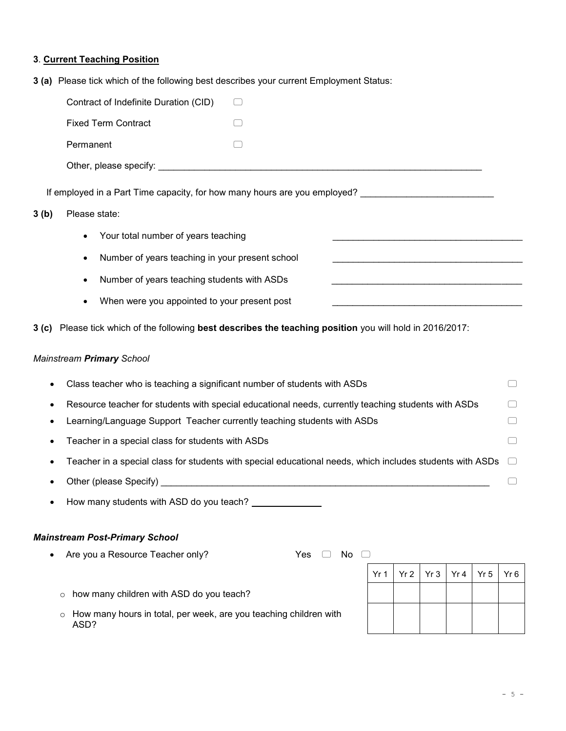#### **3**. **Current Teaching Position**

**3 (a)** Please tick which of the following best describes your current Employment Status:

| Contract of Indefinite Duration (CID)                                     | $\left[ \quad \right]$ |
|---------------------------------------------------------------------------|------------------------|
| <b>Fixed Term Contract</b>                                                |                        |
| Permanent                                                                 |                        |
|                                                                           |                        |
| If employed in a Part Time capacity, for how many hours are you employed? |                        |

#### **3 (b)** Please state:

- Your total number of years teaching
- Number of years teaching in your present school
- Number of years teaching students with ASDs
- When were you appointed to your present post

**3 (c)** Please tick which of the following **best describes the teaching position** you will hold in 2016/2017:

#### *Mainstream Primary School*

| $\bullet$ | Class teacher who is teaching a significant number of students with ASDs                                         |   |
|-----------|------------------------------------------------------------------------------------------------------------------|---|
| $\bullet$ | Resource teacher for students with special educational needs, currently teaching students with ASDs              | □ |
|           | Learning/Language Support Teacher currently teaching students with ASDs                                          |   |
|           | Teacher in a special class for students with ASDs                                                                | □ |
|           | Teacher in a special class for students with special educational needs, which includes students with ASDs $\Box$ |   |
|           | Other (please Specify)                                                                                           |   |
|           |                                                                                                                  |   |

How many students with ASD do you teach?

#### *Mainstream Post-Primary School*

• Are you a Resource Teacher only?  $Yes \Box No \Box$ 

|  | $Yr1$ $Yr2$ $Yr3$ $Yr4$ $Yr5$ $Yr6$ |  |
|--|-------------------------------------|--|
|  |                                     |  |
|  |                                     |  |
|  |                                     |  |

o How many hours in total, per week, are you teaching children with ASD?

o how many children with ASD do you teach?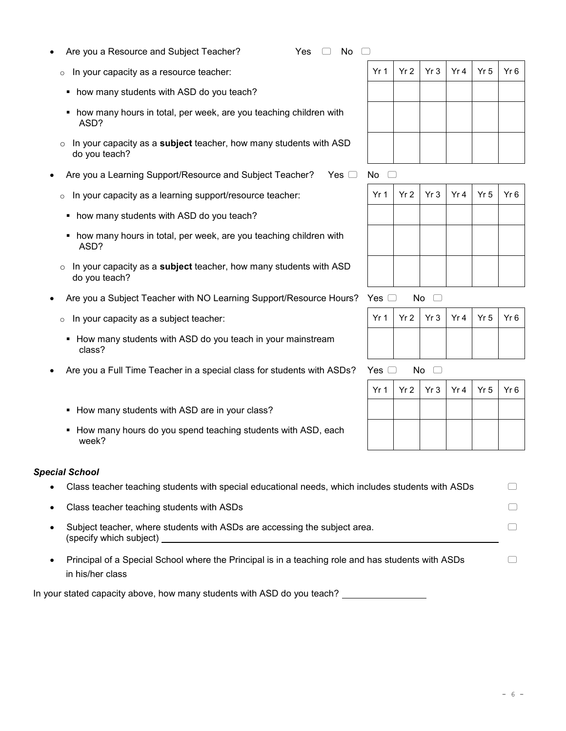#### Are you a Resource and Subject Teacher?  $Yes \Box No \Box$

- $\circ$  In your capacity as a resource teacher:
- how many students with ASD do you teach?
- how many hours in total, per week, are you teaching children with ASD?
- o In your capacity as a **subject** teacher, how many students with ASD do you teach?
- Are you a Learning Support/Resource and Subject Teacher? Yes  $\Box$  No  $\Box$ 
	- $\circ$  In your capacity as a learning support/resource teacher:
	- how many students with ASD do you teach?
	- how many hours in total, per week, are you teaching children with ASD?
	- o In your capacity as a **subject** teacher, how many students with ASD do you teach?
- Are you a Subject Teacher with NO Learning Support/Resource Hours? Yes  $\Box$  No  $\Box$ 
	- $\circ$  In your capacity as a subject teacher:
	- **EXT** How many students with ASD do you teach in your mainstream class?
- Are you a Full Time Teacher in a special class for students with ASDs? Yes  $\Box$  No  $\Box$ 
	- How many students with ASD are in your class?
	- How many hours do you spend teaching students with ASD, each week?

#### *Special School*

- Class teacher teaching students with special educational needs, which includes students with ASDs
- Class teacher teaching students with ASDs
- Subject teacher, where students with ASDs are accessing the subject area. (specify which subject)
- Principal of a Special School where the Principal is in a teaching role and has students with ASDs in his/her class

In your stated capacity above, how many students with ASD do you teach?

|  | Yr 1   Yr 2   Yr 3   Yr 4   Yr 5   Yr 6 |  |  |
|--|-----------------------------------------|--|--|
|  |                                         |  |  |
|  |                                         |  |  |
|  |                                         |  |  |
|  |                                         |  |  |

| — טויו |  |  |                                         |
|--------|--|--|-----------------------------------------|
|        |  |  | Yr 1   Yr 2   Yr 3   Yr 4   Yr 5   Yr 6 |
|        |  |  |                                         |
|        |  |  |                                         |
|        |  |  |                                         |
|        |  |  |                                         |
|        |  |  |                                         |

|  |  | $Yr1$   $Yr2$   $Yr3$   $Yr4$   $Yr5$   $Yr6$ |
|--|--|-----------------------------------------------|
|  |  |                                               |

$$
\mathsf{es} \ \Box \quad \mathsf{No} \ \ \Box
$$

|  |  | Yr 1   Yr 2   Yr 3   Yr 4   Yr 5   Yr 6 |
|--|--|-----------------------------------------|
|  |  |                                         |
|  |  |                                         |
|  |  |                                         |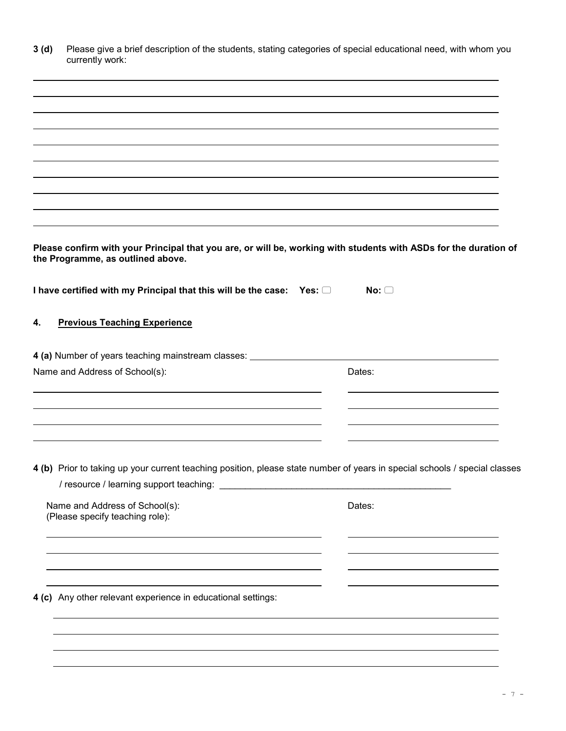|    | Please give a brief description of the students, stating categories of special educational need, with whom you<br>currently work:                     |            |  |
|----|-------------------------------------------------------------------------------------------------------------------------------------------------------|------------|--|
|    |                                                                                                                                                       |            |  |
|    |                                                                                                                                                       |            |  |
|    |                                                                                                                                                       |            |  |
|    |                                                                                                                                                       |            |  |
|    |                                                                                                                                                       |            |  |
|    |                                                                                                                                                       |            |  |
|    |                                                                                                                                                       |            |  |
|    | Please confirm with your Principal that you are, or will be, working with students with ASDs for the duration of<br>the Programme, as outlined above. |            |  |
|    |                                                                                                                                                       |            |  |
|    | I have certified with my Principal that this will be the case: Yes: $\Box$                                                                            | No: $\Box$ |  |
| 4. | <b>Previous Teaching Experience</b>                                                                                                                   |            |  |
|    | 4 (a) Number of years teaching mainstream classes: _____________________________                                                                      |            |  |
|    | Name and Address of School(s):                                                                                                                        | Dates:     |  |
|    |                                                                                                                                                       |            |  |
|    |                                                                                                                                                       |            |  |
|    |                                                                                                                                                       |            |  |
|    |                                                                                                                                                       |            |  |
|    |                                                                                                                                                       |            |  |
|    | 4 (b) Prior to taking up your current teaching position, please state number of years in special schools / special classes                            |            |  |
|    | Name and Address of School(s):<br>(Please specify teaching role):                                                                                     | Dates:     |  |
|    |                                                                                                                                                       |            |  |
|    |                                                                                                                                                       |            |  |
|    | 4 (c) Any other relevant experience in educational settings:                                                                                          |            |  |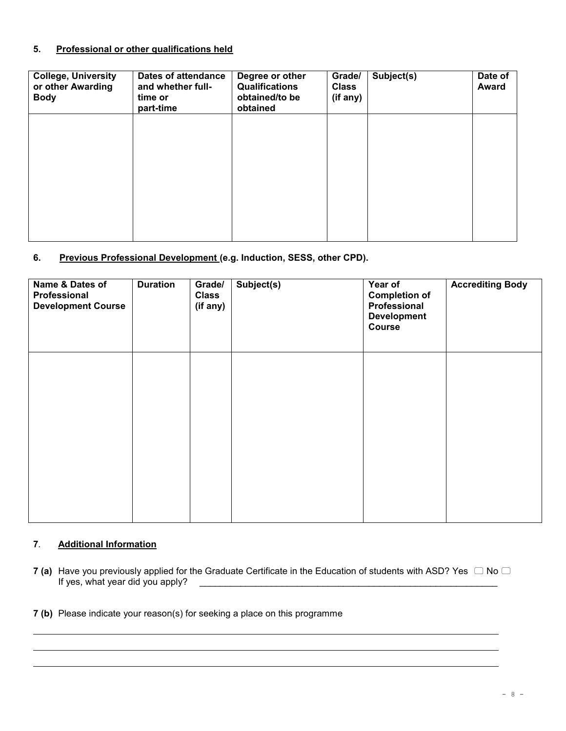#### **5. Professional or other qualifications held**

| <b>College, University</b><br>or other Awarding<br><b>Body</b> | Dates of attendance<br>and whether full-<br>time or<br>part-time | Degree or other<br><b>Qualifications</b><br>obtained/to be<br>obtained | Grade/<br><b>Class</b><br>(if any) | Subject(s) | Date of<br><b>Award</b> |
|----------------------------------------------------------------|------------------------------------------------------------------|------------------------------------------------------------------------|------------------------------------|------------|-------------------------|
|                                                                |                                                                  |                                                                        |                                    |            |                         |
|                                                                |                                                                  |                                                                        |                                    |            |                         |
|                                                                |                                                                  |                                                                        |                                    |            |                         |

#### **6. Previous Professional Development (e.g. Induction, SESS, other CPD).**

| Name & Dates of<br>Professional<br><b>Development Course</b> | <b>Duration</b> | Grade/<br><b>Class</b><br>(if any) | Subject(s) | Year of<br><b>Completion of</b><br>Professional<br><b>Development</b><br>Course | <b>Accrediting Body</b> |
|--------------------------------------------------------------|-----------------|------------------------------------|------------|---------------------------------------------------------------------------------|-------------------------|
|                                                              |                 |                                    |            |                                                                                 |                         |
|                                                              |                 |                                    |            |                                                                                 |                         |

#### **7***.* **Additional Information**

**7** (a) Have you previously applied for the Graduate Certificate in the Education of students with ASD? Yes  $\Box$  No  $\Box$  If yes, what year did you apply?  $\frac{1}{2}$  year  $\frac{1}{2}$  year did you apply?  $\frac{1}{2}$  year did you apply?  $\frac{1}{2}$ 

**7 (b)** Please indicate your reason(s) for seeking a place on this programme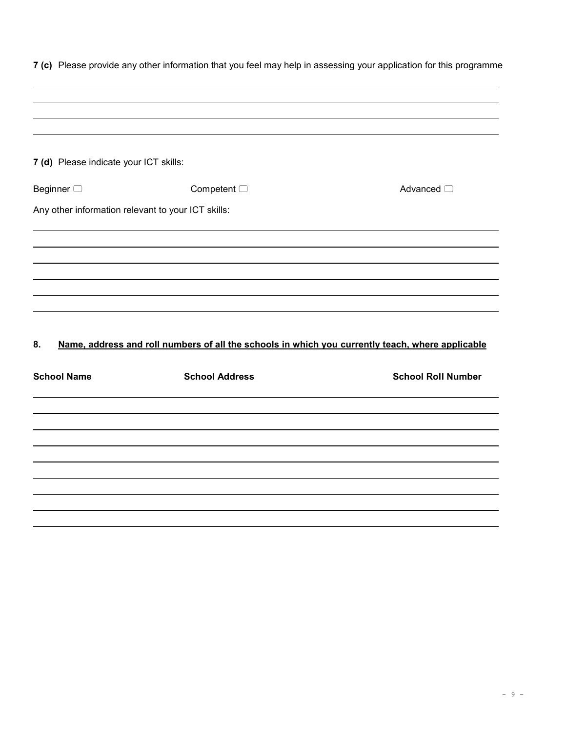| 7 (d) Please indicate your ICT skills:             |                                                                                                  |                           |
|----------------------------------------------------|--------------------------------------------------------------------------------------------------|---------------------------|
| Beginner $\Box$                                    | Competent $\Box$                                                                                 | Advanced <sup>1</sup>     |
| Any other information relevant to your ICT skills: |                                                                                                  |                           |
|                                                    |                                                                                                  |                           |
|                                                    |                                                                                                  |                           |
|                                                    |                                                                                                  |                           |
|                                                    |                                                                                                  |                           |
|                                                    |                                                                                                  |                           |
|                                                    |                                                                                                  |                           |
| 8.                                                 | Name, address and roll numbers of all the schools in which you currently teach, where applicable |                           |
| <b>School Name</b>                                 | <b>School Address</b>                                                                            | <b>School Roll Number</b> |
|                                                    |                                                                                                  |                           |
|                                                    |                                                                                                  |                           |
|                                                    |                                                                                                  |                           |
|                                                    |                                                                                                  |                           |
|                                                    |                                                                                                  |                           |

**7 (c)** Please provide any other information that you feel may help in assessing your application for this programme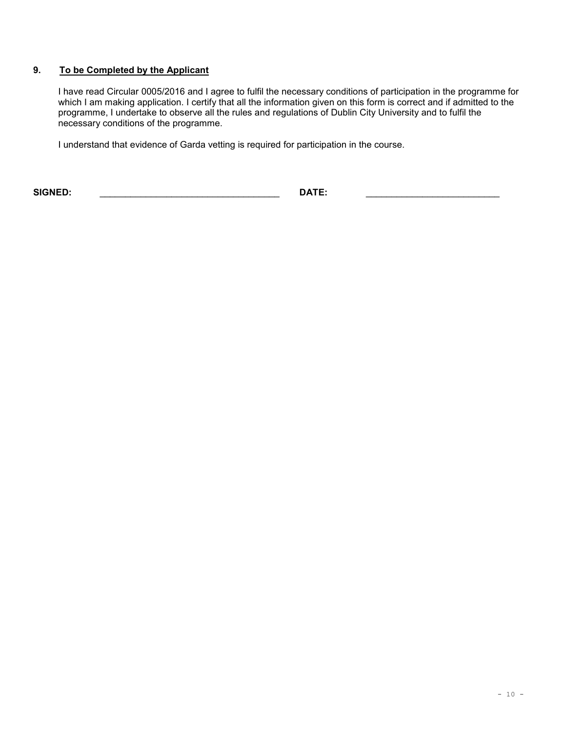#### **9. To be Completed by the Applicant**

I have read Circular 0005/2016 and I agree to fulfil the necessary conditions of participation in the programme for which I am making application. I certify that all the information given on this form is correct and if admitted to the programme, I undertake to observe all the rules and regulations of Dublin City University and to fulfil the necessary conditions of the programme.

I understand that evidence of Garda vetting is required for participation in the course.

**SIGNED:** \_\_\_\_\_\_\_\_\_\_\_\_\_\_\_\_\_\_\_\_\_\_\_\_\_\_\_\_\_\_\_\_\_\_\_ **DATE:** \_\_\_\_\_\_\_\_\_\_\_\_\_\_\_\_\_\_\_\_\_\_\_\_\_\_